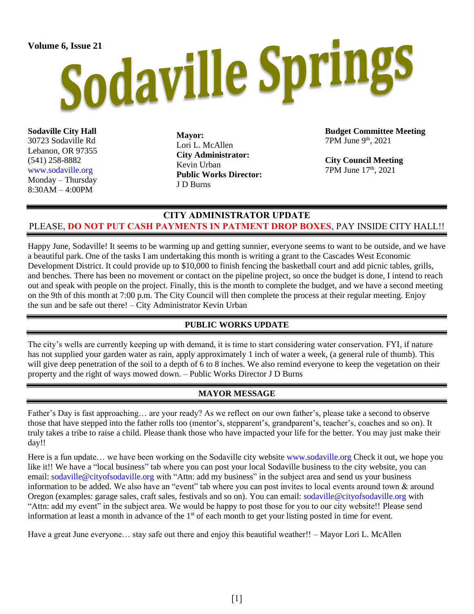# Volume 6, Issue 21<br>Sodaville Springs

**Sodaville City Hall** 30723 Sodaville Rd Lebanon, OR 97355 (541) 258-8882 [www.sodaville.org](http://www.sodaville.org/) Monday – Thursday 8:30AM – 4:00PM

**Mayor:** Lori L. McAllen **City Administrator:** Kevin Urban **Public Works Director:** J D Burns

**Budget Committee Meeting** 7PM June 9 th, 2021

**City Council Meeting** 7PM June 17th, 2021

## **CITY ADMINISTRATOR UPDATE** PLEASE, **DO NOT PUT CASH PAYMENTS IN PATMENT DROP BOXES**, PAY INSIDE CITY HALL!!

Happy June, Sodaville! It seems to be warming up and getting sunnier, everyone seems to want to be outside, and we have a beautiful park. One of the tasks I am undertaking this month is writing a grant to the Cascades West Economic Development District. It could provide up to \$10,000 to finish fencing the basketball court and add picnic tables, grills, and benches. There has been no movement or contact on the pipeline project, so once the budget is done, I intend to reach out and speak with people on the project. Finally, this is the month to complete the budget, and we have a second meeting on the 9th of this month at 7:00 p.m. The City Council will then complete the process at their regular meeting. Enjoy the sun and be safe out there! – City Administrator Kevin Urban

### **PUBLIC WORKS UPDATE**

The city's wells are currently keeping up with demand, it is time to start considering water conservation. FYI, if nature has not supplied your garden water as rain, apply approximately 1 inch of water a week, (a general rule of thumb). This will give deep penetration of the soil to a depth of 6 to 8 inches. We also remind everyone to keep the vegetation on their property and the right of ways mowed down. – Public Works Director J D Burns

### **MAYOR MESSAGE**

Father's Day is fast approaching… are your ready? As we reflect on our own father's, please take a second to observe those that have stepped into the father rolls too (mentor's, stepparent's, grandparent's, teacher's, coaches and so on). It truly takes a tribe to raise a child. Please thank those who have impacted your life for the better. You may just make their day!!

Here is a fun update... we have been working on the Sodaville city website [www.sodaville.org](http://www.sodaville.org/) Check it out, we hope you like it!! We have a "local business" tab where you can post your local Sodaville business to the city website, you can email: [sodaville@cityofsodaville.org](mailto:sodaville@cityofsodaville.org) with "Attn: add my business" in the subject area and send us your business information to be added. We also have an "event" tab where you can post invites to local events around town & around Oregon (examples: garage sales, craft sales, festivals and so on). You can email: [sodaville@cityofsodaville.org](mailto:sodaville@cityofsodaville.org) with "Attn: add my event" in the subject area. We would be happy to post those for you to our city website!! Please send information at least a month in advance of the 1<sup>st</sup> of each month to get your listing posted in time for event.

Have a great June everyone… stay safe out there and enjoy this beautiful weather!! – Mayor Lori L. McAllen